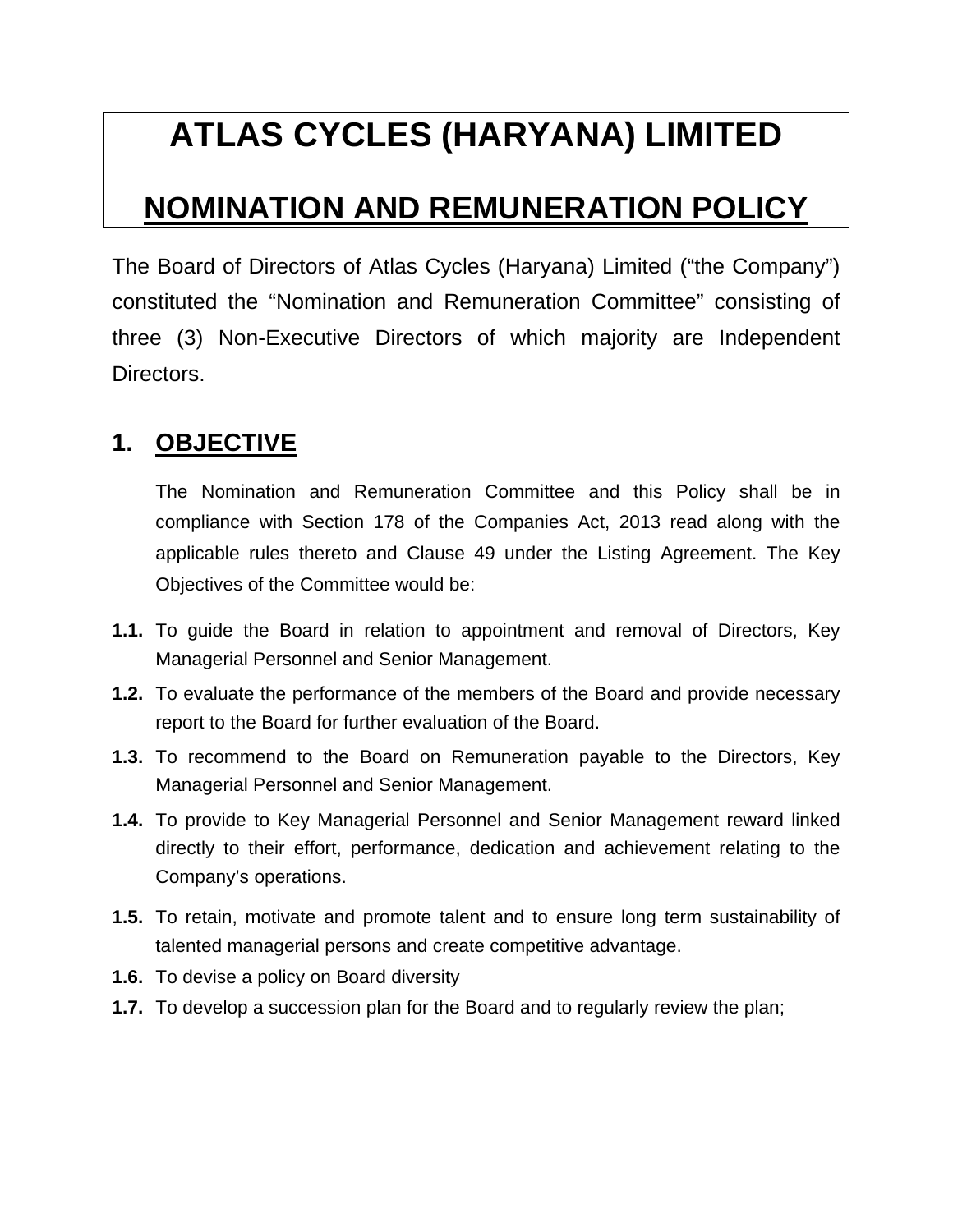# **ATLAS CYCLES (HARYANA) LIMITED**

# **NOMINATION AND REMUNERATION POLICY**

The Board of Directors of Atlas Cycles (Haryana) Limited ("the Company") constituted the "Nomination and Remuneration Committee" consisting of three (3) Non-Executive Directors of which majority are Independent Directors.

# **1. OBJECTIVE**

The Nomination and Remuneration Committee and this Policy shall be in compliance with Section 178 of the Companies Act, 2013 read along with the applicable rules thereto and Clause 49 under the Listing Agreement. The Key Objectives of the Committee would be:

- **1.1.** To guide the Board in relation to appointment and removal of Directors, Key Managerial Personnel and Senior Management.
- **1.2.** To evaluate the performance of the members of the Board and provide necessary report to the Board for further evaluation of the Board.
- **1.3.** To recommend to the Board on Remuneration payable to the Directors, Key Managerial Personnel and Senior Management.
- **1.4.** To provide to Key Managerial Personnel and Senior Management reward linked directly to their effort, performance, dedication and achievement relating to the Company's operations.
- **1.5.** To retain, motivate and promote talent and to ensure long term sustainability of talented managerial persons and create competitive advantage.
- **1.6.** To devise a policy on Board diversity
- **1.7.** To develop a succession plan for the Board and to regularly review the plan;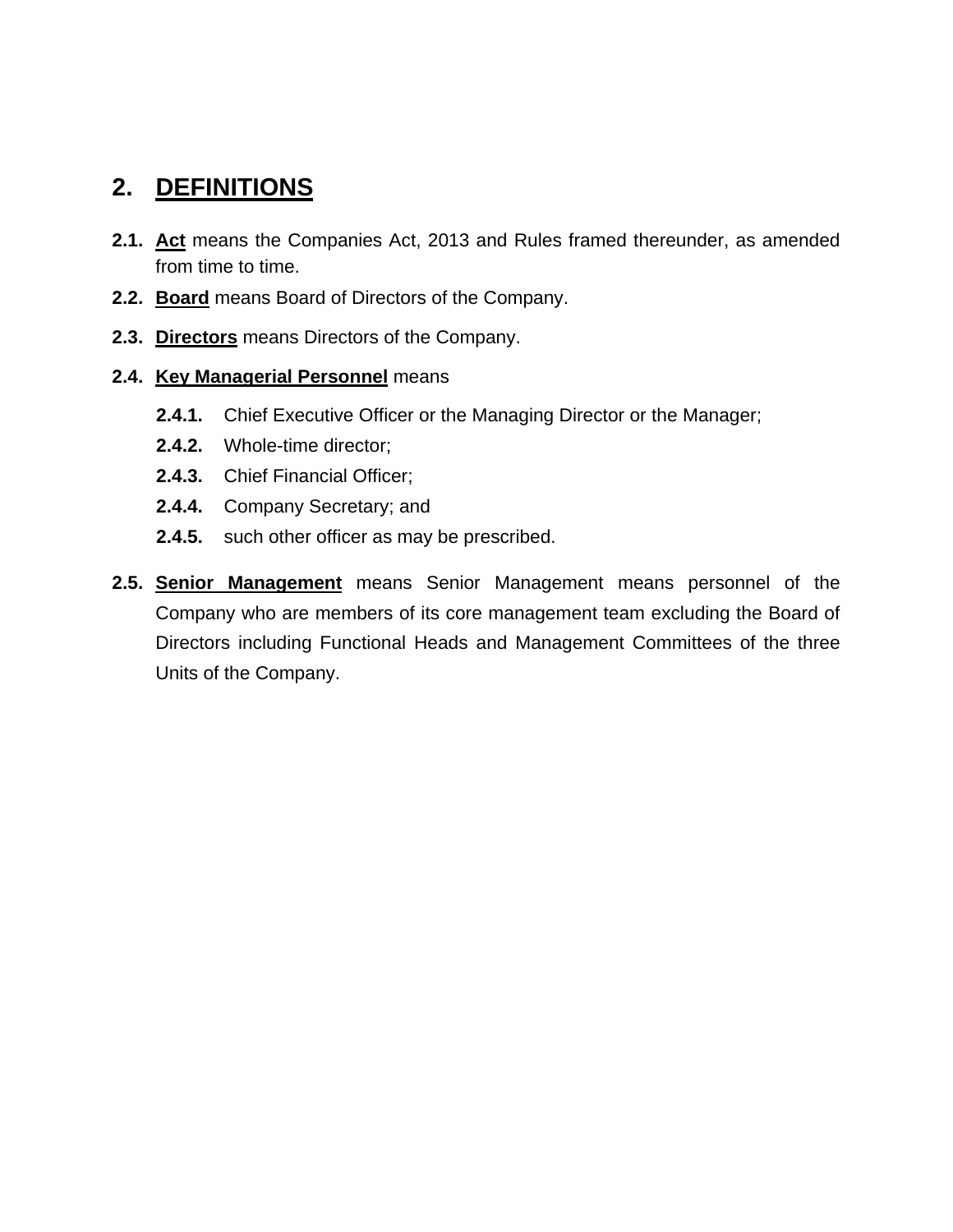# **2. DEFINITIONS**

- **2.1. Act** means the Companies Act, 2013 and Rules framed thereunder, as amended from time to time.
- **2.2. Board** means Board of Directors of the Company.
- **2.3. Directors** means Directors of the Company.
- **2.4. Key Managerial Personnel** means
	- **2.4.1.** Chief Executive Officer or the Managing Director or the Manager;
	- **2.4.2.** Whole-time director;
	- **2.4.3.** Chief Financial Officer;
	- **2.4.4.** Company Secretary; and
	- **2.4.5.** such other officer as may be prescribed.
- **2.5. Senior Management** means Senior Management means personnel of the Company who are members of its core management team excluding the Board of Directors including Functional Heads and Management Committees of the three Units of the Company.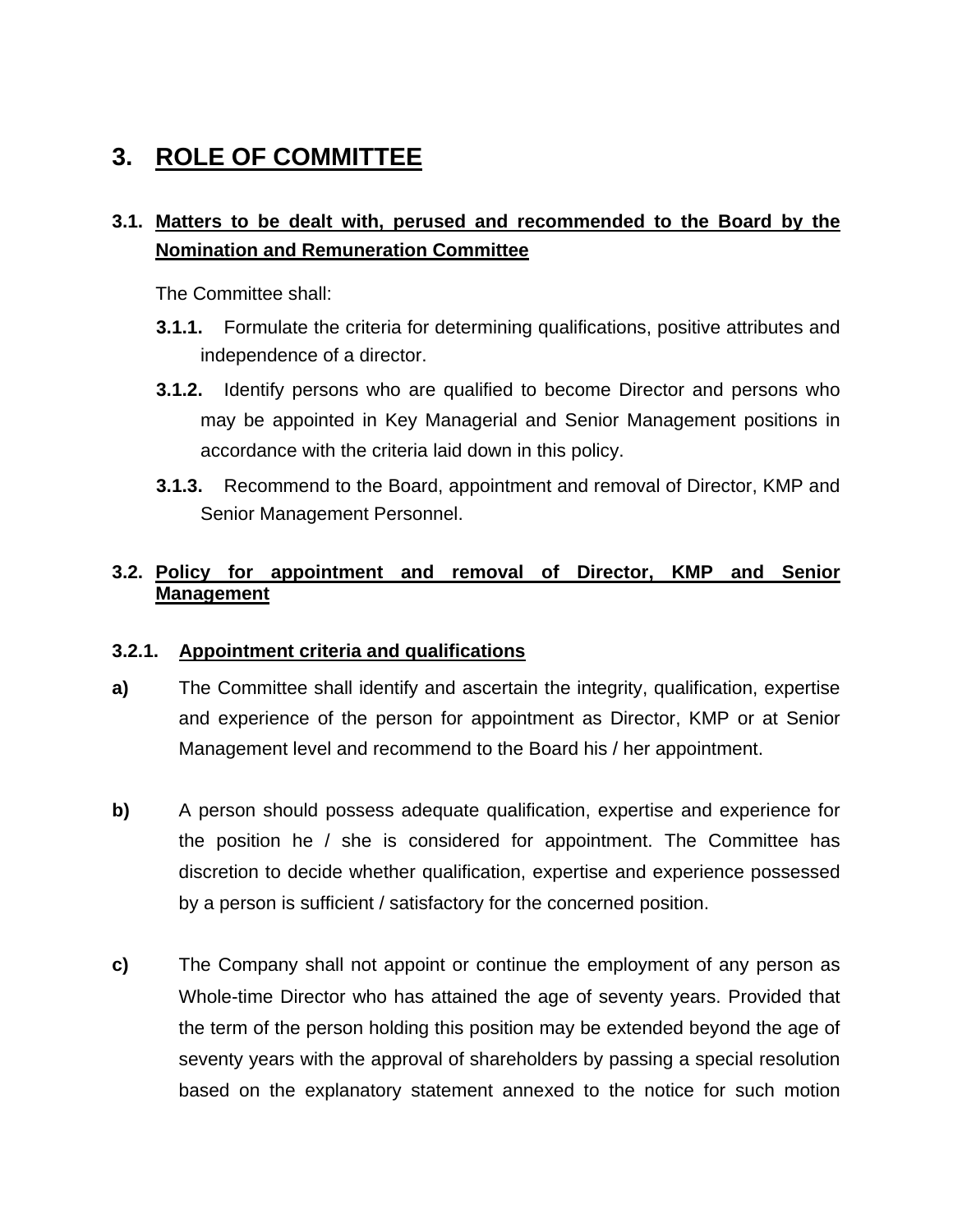# **3. ROLE OF COMMITTEE**

## **3.1. Matters to be dealt with, perused and recommended to the Board by the Nomination and Remuneration Committee**

The Committee shall:

- **3.1.1.** Formulate the criteria for determining qualifications, positive attributes and independence of a director.
- **3.1.2.** Identify persons who are qualified to become Director and persons who may be appointed in Key Managerial and Senior Management positions in accordance with the criteria laid down in this policy.
- **3.1.3.** Recommend to the Board, appointment and removal of Director, KMP and Senior Management Personnel.

### **3.2. Policy for appointment and removal of Director, KMP and Senior Management**

### **3.2.1. Appointment criteria and qualifications**

- **a)** The Committee shall identify and ascertain the integrity, qualification, expertise and experience of the person for appointment as Director, KMP or at Senior Management level and recommend to the Board his / her appointment.
- **b)** A person should possess adequate qualification, expertise and experience for the position he / she is considered for appointment. The Committee has discretion to decide whether qualification, expertise and experience possessed by a person is sufficient / satisfactory for the concerned position.
- **c)** The Company shall not appoint or continue the employment of any person as Whole-time Director who has attained the age of seventy years. Provided that the term of the person holding this position may be extended beyond the age of seventy years with the approval of shareholders by passing a special resolution based on the explanatory statement annexed to the notice for such motion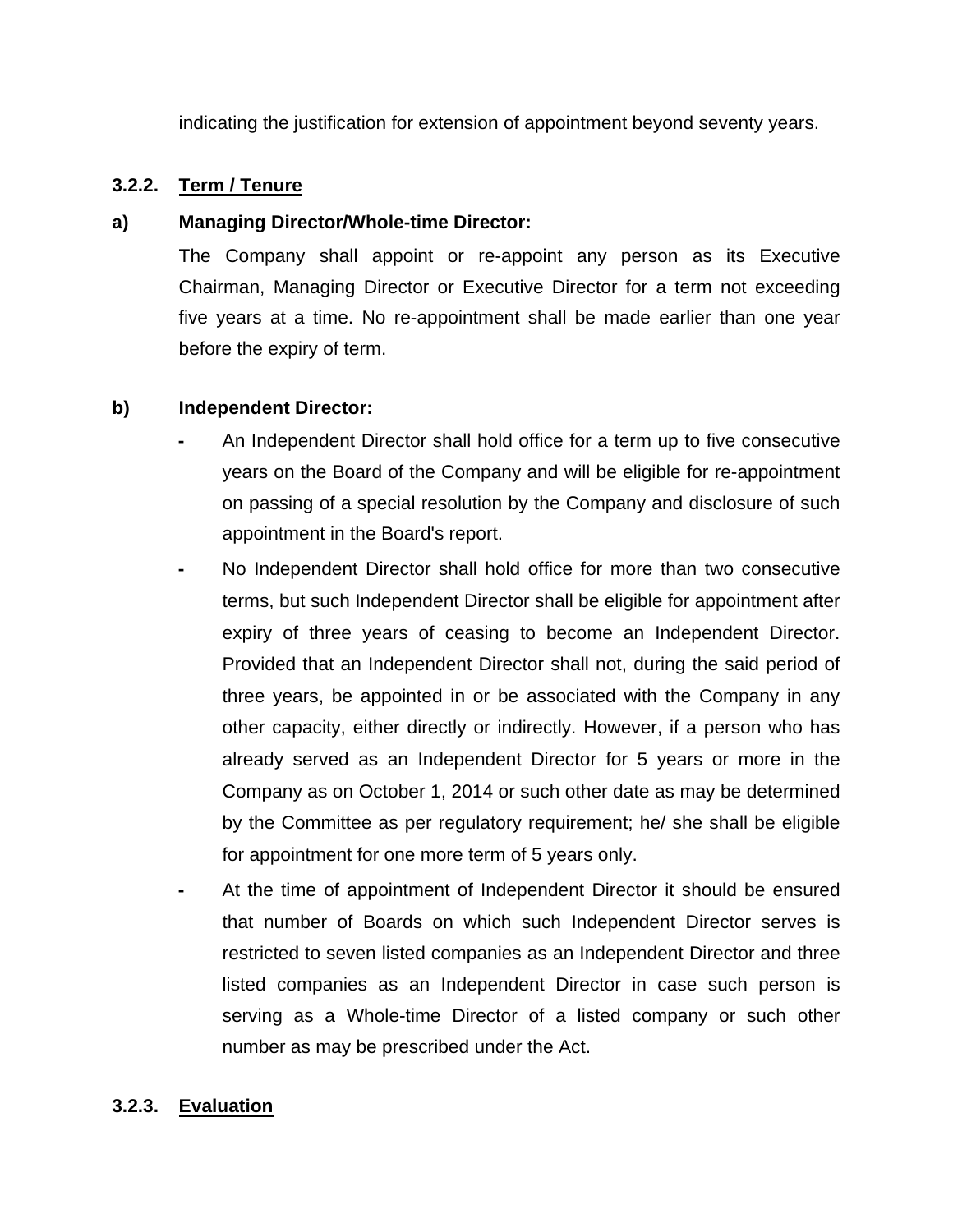indicating the justification for extension of appointment beyond seventy years.

### **3.2.2. Term / Tenure**

### **a) Managing Director/Whole-time Director:**

The Company shall appoint or re-appoint any person as its Executive Chairman, Managing Director or Executive Director for a term not exceeding five years at a time. No re-appointment shall be made earlier than one year before the expiry of term.

### **b) Independent Director:**

- An Independent Director shall hold office for a term up to five consecutive years on the Board of the Company and will be eligible for re-appointment on passing of a special resolution by the Company and disclosure of such appointment in the Board's report.
- No Independent Director shall hold office for more than two consecutive terms, but such Independent Director shall be eligible for appointment after expiry of three years of ceasing to become an Independent Director. Provided that an Independent Director shall not, during the said period of three years, be appointed in or be associated with the Company in any other capacity, either directly or indirectly. However, if a person who has already served as an Independent Director for 5 years or more in the Company as on October 1, 2014 or such other date as may be determined by the Committee as per regulatory requirement; he/ she shall be eligible for appointment for one more term of 5 years only.
- At the time of appointment of Independent Director it should be ensured that number of Boards on which such Independent Director serves is restricted to seven listed companies as an Independent Director and three listed companies as an Independent Director in case such person is serving as a Whole-time Director of a listed company or such other number as may be prescribed under the Act.

### **3.2.3. Evaluation**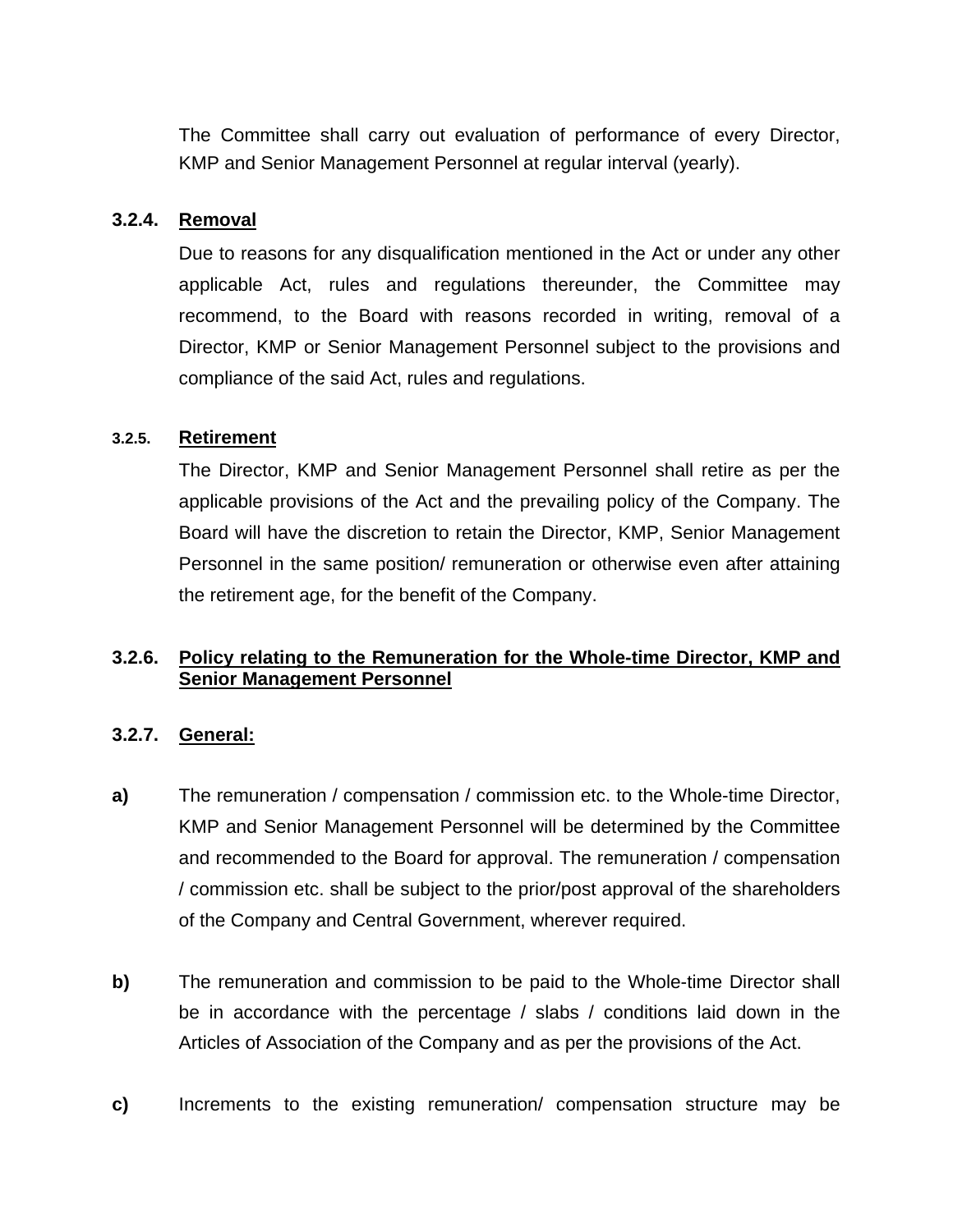The Committee shall carry out evaluation of performance of every Director, KMP and Senior Management Personnel at regular interval (yearly).

#### **3.2.4. Removal**

Due to reasons for any disqualification mentioned in the Act or under any other applicable Act, rules and regulations thereunder, the Committee may recommend, to the Board with reasons recorded in writing, removal of a Director, KMP or Senior Management Personnel subject to the provisions and compliance of the said Act, rules and regulations.

#### **3.2.5. Retirement**

The Director, KMP and Senior Management Personnel shall retire as per the applicable provisions of the Act and the prevailing policy of the Company. The Board will have the discretion to retain the Director, KMP, Senior Management Personnel in the same position/ remuneration or otherwise even after attaining the retirement age, for the benefit of the Company.

### **3.2.6. Policy relating to the Remuneration for the Whole-time Director, KMP and Senior Management Personnel**

#### **3.2.7. General:**

- **a)** The remuneration / compensation / commission etc. to the Whole-time Director, KMP and Senior Management Personnel will be determined by the Committee and recommended to the Board for approval. The remuneration / compensation / commission etc. shall be subject to the prior/post approval of the shareholders of the Company and Central Government, wherever required.
- **b)** The remuneration and commission to be paid to the Whole-time Director shall be in accordance with the percentage / slabs / conditions laid down in the Articles of Association of the Company and as per the provisions of the Act.
- **c)** Increments to the existing remuneration/ compensation structure may be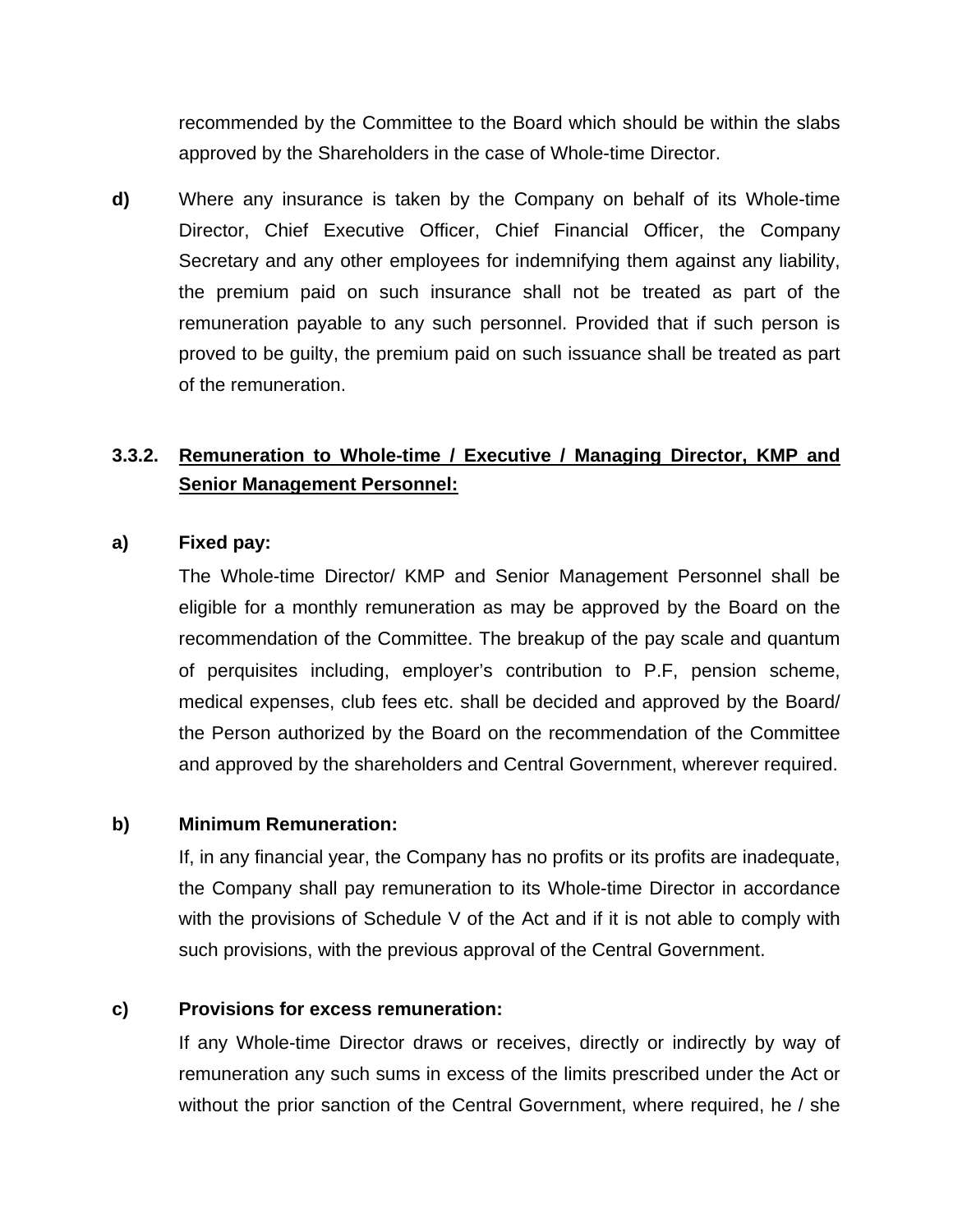recommended by the Committee to the Board which should be within the slabs approved by the Shareholders in the case of Whole-time Director.

**d)** Where any insurance is taken by the Company on behalf of its Whole-time Director, Chief Executive Officer, Chief Financial Officer, the Company Secretary and any other employees for indemnifying them against any liability, the premium paid on such insurance shall not be treated as part of the remuneration payable to any such personnel. Provided that if such person is proved to be guilty, the premium paid on such issuance shall be treated as part of the remuneration.

## **3.3.2. Remuneration to Whole-time / Executive / Managing Director, KMP and Senior Management Personnel:**

#### **a) Fixed pay:**

The Whole-time Director/ KMP and Senior Management Personnel shall be eligible for a monthly remuneration as may be approved by the Board on the recommendation of the Committee. The breakup of the pay scale and quantum of perquisites including, employer's contribution to P.F, pension scheme, medical expenses, club fees etc. shall be decided and approved by the Board/ the Person authorized by the Board on the recommendation of the Committee and approved by the shareholders and Central Government, wherever required.

#### **b) Minimum Remuneration:**

If, in any financial year, the Company has no profits or its profits are inadequate, the Company shall pay remuneration to its Whole-time Director in accordance with the provisions of Schedule V of the Act and if it is not able to comply with such provisions, with the previous approval of the Central Government.

#### **c) Provisions for excess remuneration:**

If any Whole-time Director draws or receives, directly or indirectly by way of remuneration any such sums in excess of the limits prescribed under the Act or without the prior sanction of the Central Government, where required, he / she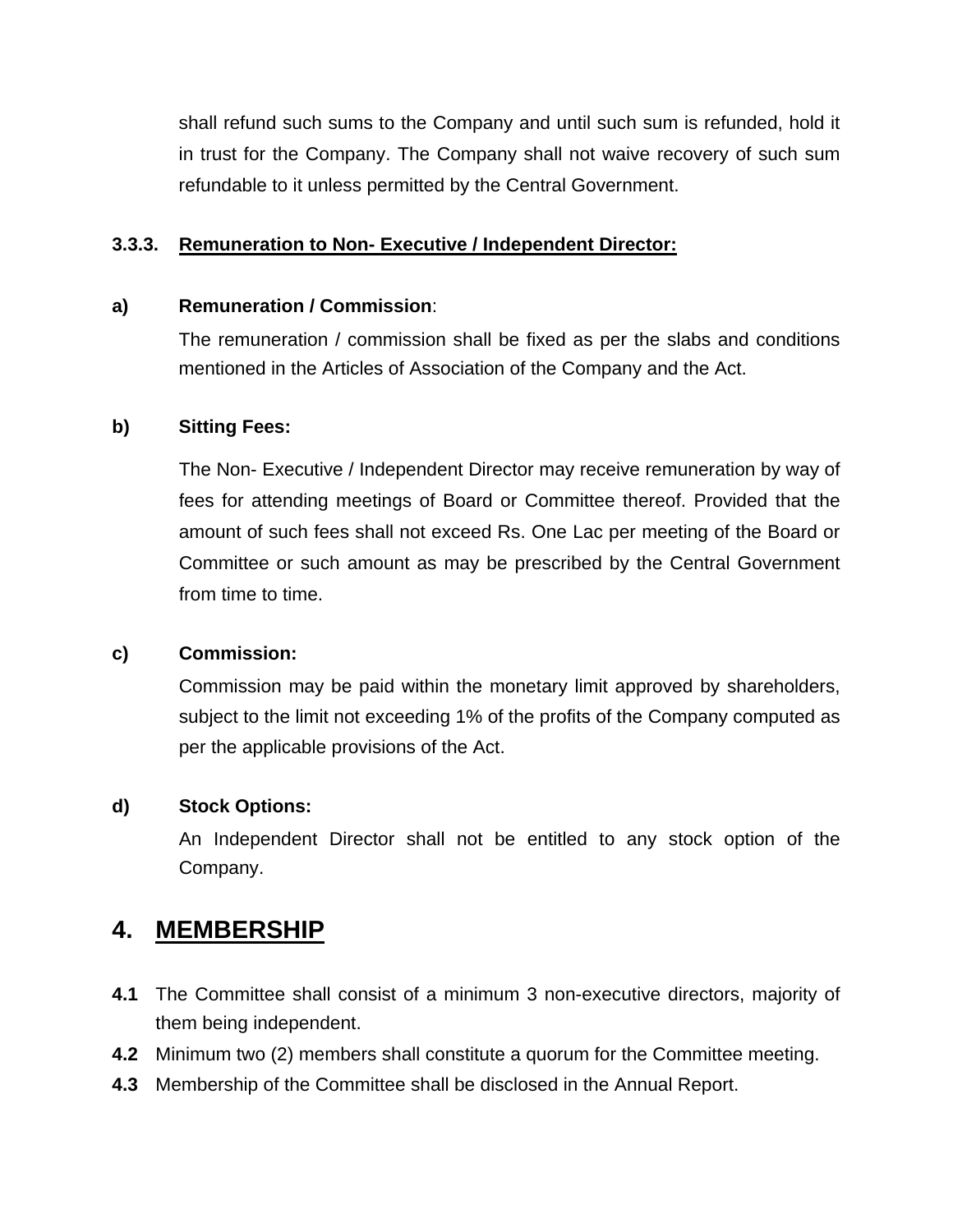shall refund such sums to the Company and until such sum is refunded, hold it in trust for the Company. The Company shall not waive recovery of such sum refundable to it unless permitted by the Central Government.

### **3.3.3. Remuneration to Non- Executive / Independent Director:**

#### **a) Remuneration / Commission**:

The remuneration / commission shall be fixed as per the slabs and conditions mentioned in the Articles of Association of the Company and the Act.

### **b) Sitting Fees:**

The Non- Executive / Independent Director may receive remuneration by way of fees for attending meetings of Board or Committee thereof. Provided that the amount of such fees shall not exceed Rs. One Lac per meeting of the Board or Committee or such amount as may be prescribed by the Central Government from time to time.

#### **c) Commission:**

Commission may be paid within the monetary limit approved by shareholders, subject to the limit not exceeding 1% of the profits of the Company computed as per the applicable provisions of the Act.

### **d) Stock Options:**

An Independent Director shall not be entitled to any stock option of the Company.

# **4. MEMBERSHIP**

- **4.1** The Committee shall consist of a minimum 3 non-executive directors, majority of them being independent.
- **4.2** Minimum two (2) members shall constitute a quorum for the Committee meeting.
- **4.3** Membership of the Committee shall be disclosed in the Annual Report.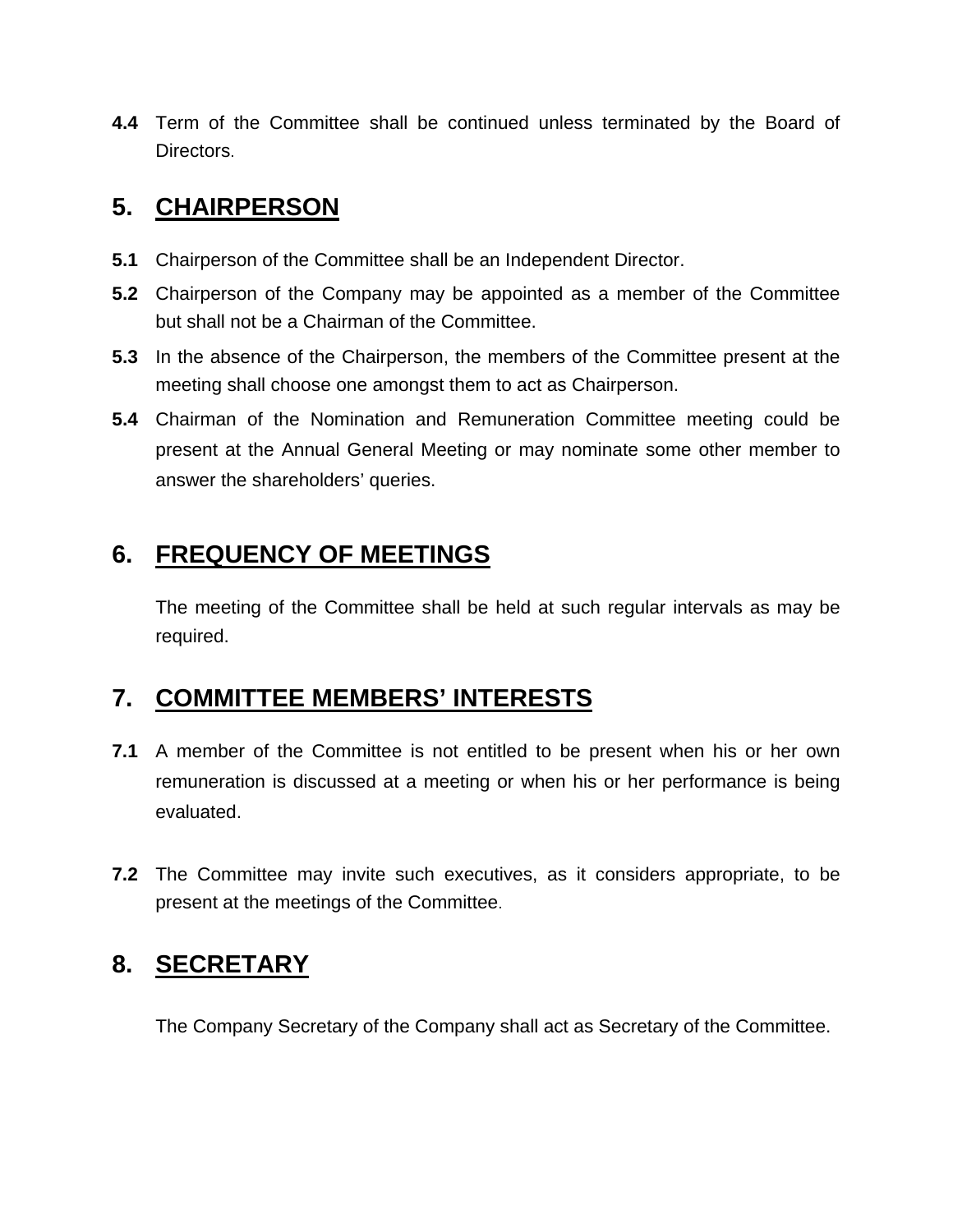**4.4** Term of the Committee shall be continued unless terminated by the Board of Directors.

# **5. CHAIRPERSON**

- **5.1** Chairperson of the Committee shall be an Independent Director.
- **5.2** Chairperson of the Company may be appointed as a member of the Committee but shall not be a Chairman of the Committee.
- **5.3** In the absence of the Chairperson, the members of the Committee present at the meeting shall choose one amongst them to act as Chairperson.
- **5.4** Chairman of the Nomination and Remuneration Committee meeting could be present at the Annual General Meeting or may nominate some other member to answer the shareholders' queries.

# **6. FREQUENCY OF MEETINGS**

The meeting of the Committee shall be held at such regular intervals as may be required.

# **7. COMMITTEE MEMBERS' INTERESTS**

- **7.1** A member of the Committee is not entitled to be present when his or her own remuneration is discussed at a meeting or when his or her performance is being evaluated.
- **7.2** The Committee may invite such executives, as it considers appropriate, to be present at the meetings of the Committee.

# **8. SECRETARY**

The Company Secretary of the Company shall act as Secretary of the Committee.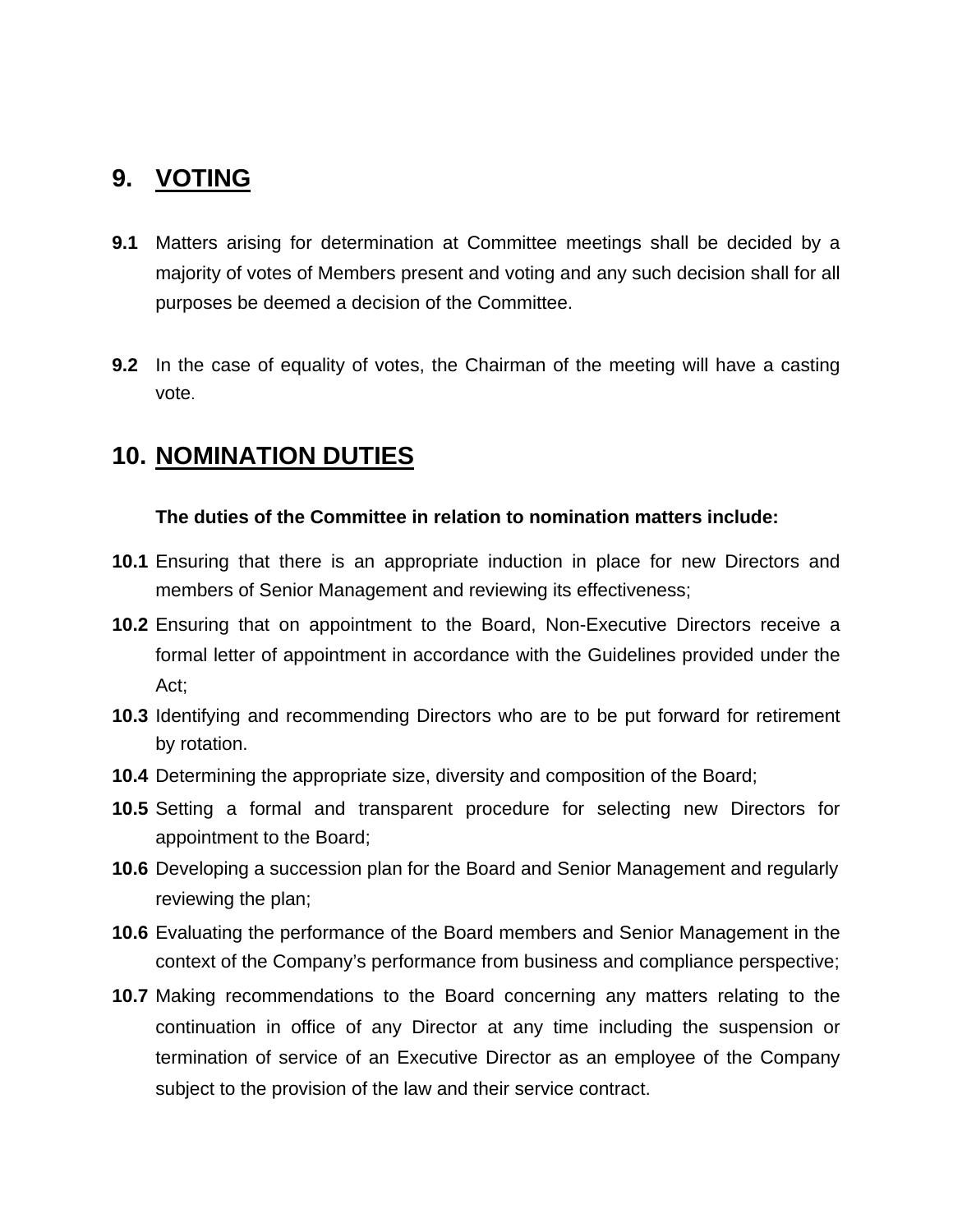# **9. VOTING**

- **9.1** Matters arising for determination at Committee meetings shall be decided by a majority of votes of Members present and voting and any such decision shall for all purposes be deemed a decision of the Committee.
- **9.2** In the case of equality of votes, the Chairman of the meeting will have a casting vote.

# **10. NOMINATION DUTIES**

### **The duties of the Committee in relation to nomination matters include:**

- **10.1** Ensuring that there is an appropriate induction in place for new Directors and members of Senior Management and reviewing its effectiveness;
- **10.2** Ensuring that on appointment to the Board, Non-Executive Directors receive a formal letter of appointment in accordance with the Guidelines provided under the Act;
- **10.3** Identifying and recommending Directors who are to be put forward for retirement by rotation.
- **10.4** Determining the appropriate size, diversity and composition of the Board;
- **10.5** Setting a formal and transparent procedure for selecting new Directors for appointment to the Board;
- **10.6** Developing a succession plan for the Board and Senior Management and regularly reviewing the plan;
- **10.6** Evaluating the performance of the Board members and Senior Management in the context of the Company's performance from business and compliance perspective;
- **10.7** Making recommendations to the Board concerning any matters relating to the continuation in office of any Director at any time including the suspension or termination of service of an Executive Director as an employee of the Company subject to the provision of the law and their service contract.